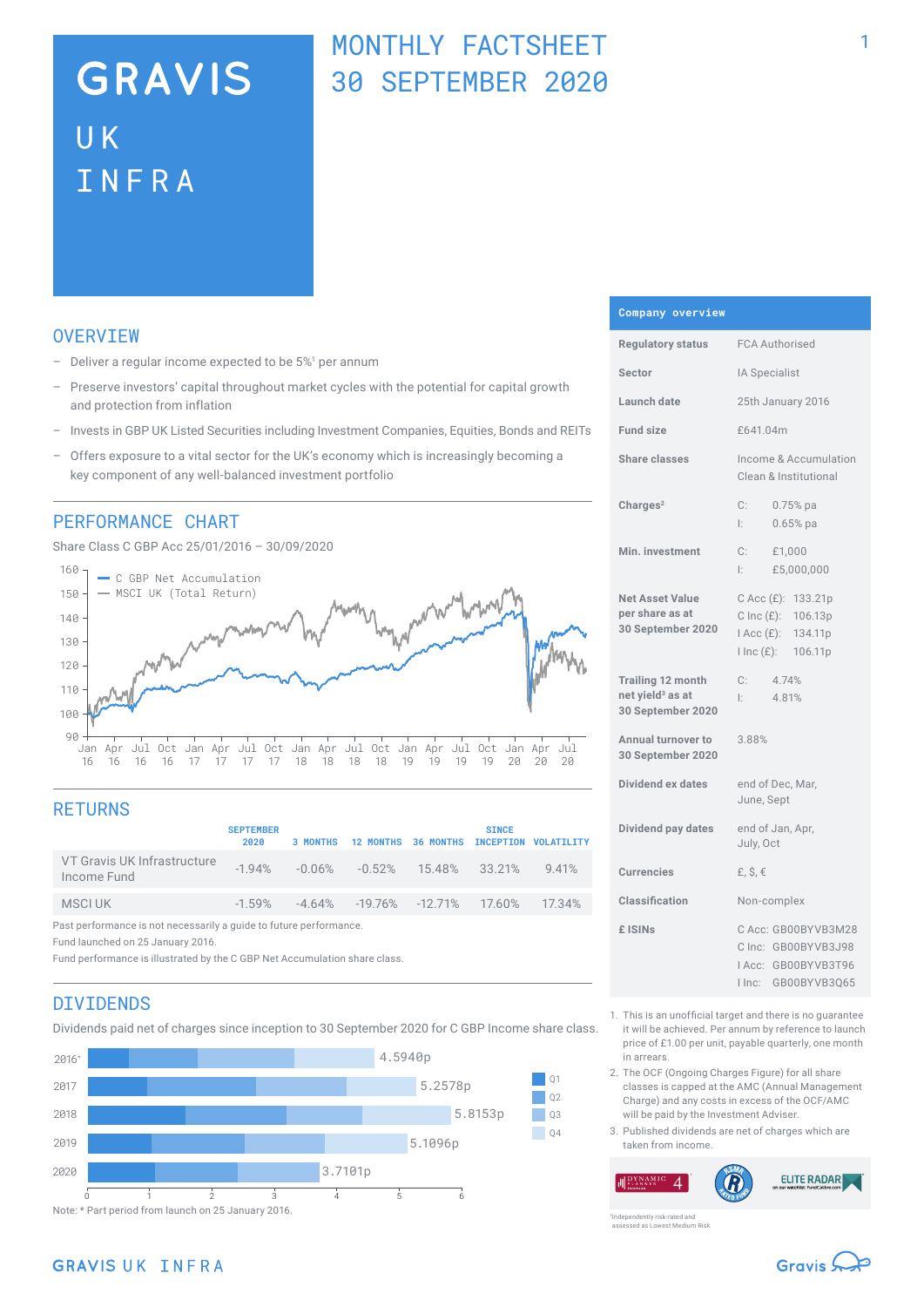# **GRAVIS** UK INFRA

## MONTHLY FACTSHEET 30 SEPTEMBER 2020

### **OVERVTEW**

- $-$  Deliver a regular income expected to be  $5\%$ <sup>1</sup> per annum
- Preserve investors' capital throughout market cycles with the potential for capital growth and protection from inflation
- Invests in GBP UK Listed Securities including Investment Companies, Equities, Bonds and REITs
- Offers exposure to a vital sector for the UK's economy which is increasingly becoming a key component of any well-balanced investment portfolio

### PERFORMANCE CHART

Share Class C GBP Acc 25/01/2016 – 30/09/2020



## **RETURNS**

|                                                                    | <b>SEPTEMBER</b><br>2020 |  | 3 MONTHS 12 MONTHS 36 MONTHS INCEPTION VOLATILITY          |  | <b>SINCE</b> |  |
|--------------------------------------------------------------------|--------------------------|--|------------------------------------------------------------|--|--------------|--|
| VT Gravis UK Infrastructure<br>Income Fund                         |                          |  | $-1.94\%$ $-0.06\%$ $-0.52\%$ $15.48\%$ $33.21\%$ $9.41\%$ |  |              |  |
| MSCI UK                                                            |                          |  | $-1.59\%$ $-4.64\%$ $-19.76\%$ $-12.71\%$ 17.60\% 17.34\%  |  |              |  |
| Past performance is not necessarily a guide to future performance. |                          |  |                                                            |  |              |  |

Fund launched on 25 January 2016.

Fund performance is illustrated by the C GBP Net Accumulation share class.

### DIVIDENDS

Dividends paid net of charges since inception to 30 September 2020 for C GBP Income share class.



#### **Company overview**

| <b>Regulatory status</b>                                                      | <b>FCA Authorised</b>                                                                        |  |  |  |
|-------------------------------------------------------------------------------|----------------------------------------------------------------------------------------------|--|--|--|
| Sector                                                                        | IA Specialist                                                                                |  |  |  |
| Launch date                                                                   | 25th January 2016                                                                            |  |  |  |
| <b>Fund size</b>                                                              | £641.04m                                                                                     |  |  |  |
| Share classes                                                                 | Income & Accumulation<br>Clean & Institutional                                               |  |  |  |
| Charles <sup>2</sup>                                                          | C:<br>$0.75%$ pa<br>Ŀ.<br>$0.65%$ pa                                                         |  |  |  |
| Min. investment                                                               | C:<br>£1,000<br>l: I<br>£5,000,000                                                           |  |  |  |
| <b>Net Asset Value</b><br>per share as at<br>30 September 2020                | C Acc (£): 133.21p<br>C Inc $(E)$ : 106.13p<br>I Acc (£): 134.11p<br>lInc(E): 106.11p        |  |  |  |
| <b>Trailing 12 month</b><br>net yield <sup>3</sup> as at<br>30 September 2020 | C:<br>4.74%<br>4.81%<br>Ŀ.                                                                   |  |  |  |
| <b>Annual turnover to</b><br>30 September 2020                                | 3.88%                                                                                        |  |  |  |
| Dividend ex dates                                                             | end of Dec, Mar,<br>June, Sept                                                               |  |  |  |
| Dividend pay dates                                                            | end of Jan, Apr,<br>July, Oct                                                                |  |  |  |
| <b>Currencies</b>                                                             | £, $$, €$                                                                                    |  |  |  |
| Classification                                                                | Non-complex                                                                                  |  |  |  |
| £ ISINs                                                                       | C Acc: GB00BYVB3M28<br>C Inc: GB00BYVB3J98<br>IAcc: GB00BYVB3T96<br>$ $ Inc:<br>GB00BYVB3Q65 |  |  |  |

- 1. This is an unofficial target and there is no guarantee it will be achieved. Per annum by reference to launch price of £1.00 per unit, payable quarterly, one month in arrears.
- 2. The OCF (Ongoing Charges Figure) for all share classes is capped at the AMC (Annual Management Charge) and any costs in excess of the OCF/AMC will be paid by the Investment Adviser.
- 3. Published dividends are net of charges which are taken from income.

**ELITE RADAR**  $\boldsymbol{\varDelta}$ 

Gravis S

ently risk-rated and assessed as Lowest Medium Risk

## **GRAVIS UK INFRA**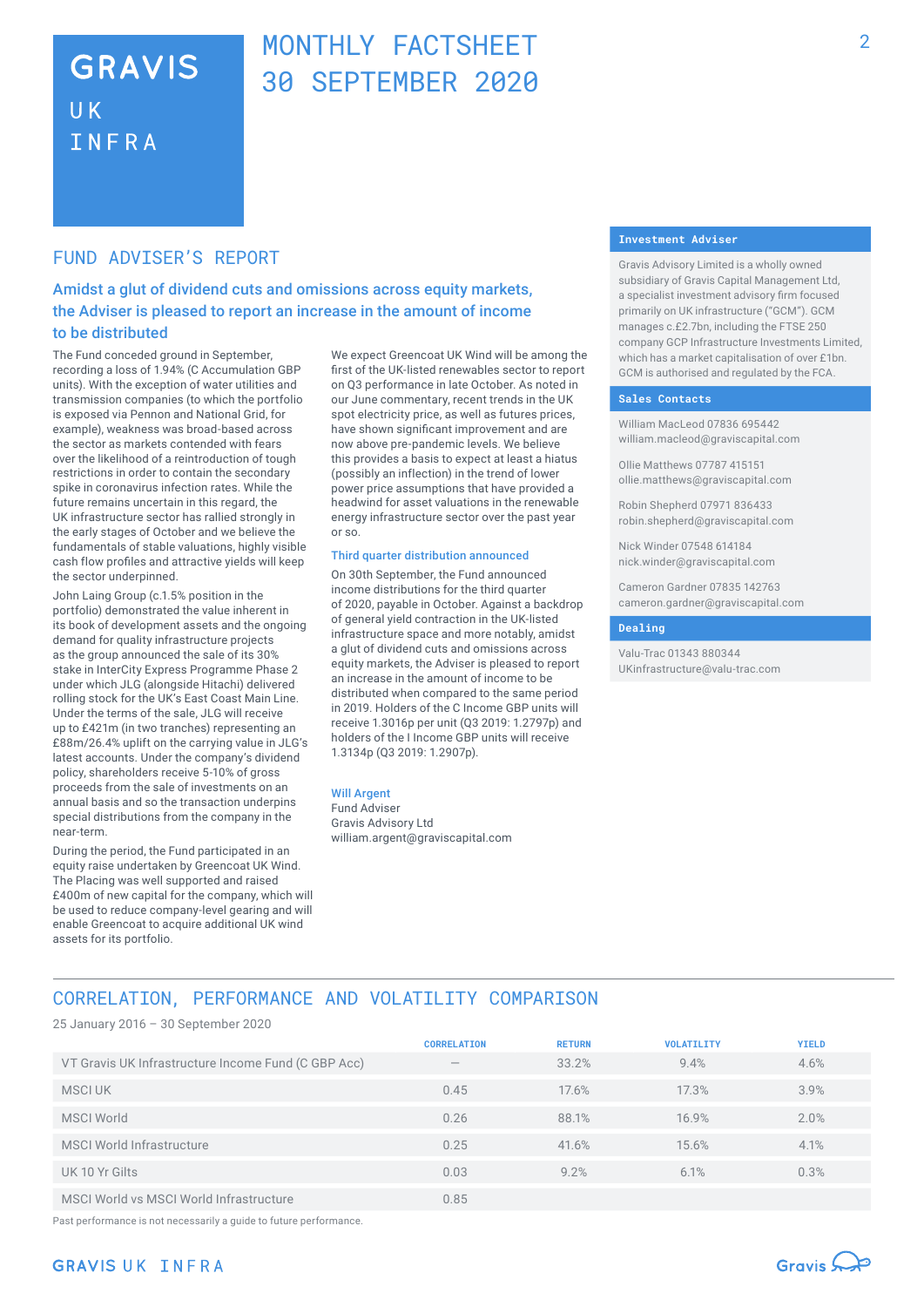## **GRAVIS UK** INFRA

## MONTHLY FACTSHEFT 30 SEPTEMBER 2020

### FUND ADVISER'S REPORT

Amidst a glut of dividend cuts and omissions across equity markets, the Adviser is pleased to report an increase in the amount of income to be distributed

The Fund conceded ground in September, recording a loss of 1.94% (C Accumulation GBP units). With the exception of water utilities and transmission companies (to which the portfolio is exposed via Pennon and National Grid, for example), weakness was broad-based across the sector as markets contended with fears over the likelihood of a reintroduction of tough restrictions in order to contain the secondary spike in coronavirus infection rates. While the future remains uncertain in this regard, the UK infrastructure sector has rallied strongly in the early stages of October and we believe the fundamentals of stable valuations, highly visible cash flow profiles and attractive yields will keep the sector underpinned.

John Laing Group (c.1.5% position in the portfolio) demonstrated the value inherent in its book of development assets and the ongoing demand for quality infrastructure projects as the group announced the sale of its 30% stake in InterCity Express Programme Phase 2 under which JLG (alongside Hitachi) delivered rolling stock for the UK's East Coast Main Line. Under the terms of the sale, JLG will receive up to £421m (in two tranches) representing an £88m/26.4% uplift on the carrying value in JLG's latest accounts. Under the company's dividend policy, shareholders receive 5-10% of gross proceeds from the sale of investments on an annual basis and so the transaction underpins special distributions from the company in the near-term.

During the period, the Fund participated in an equity raise undertaken by Greencoat UK Wind. The Placing was well supported and raised £400m of new capital for the company, which will be used to reduce company-level gearing and will enable Greencoat to acquire additional UK wind assets for its portfolio.

We expect Greencoat UK Wind will be among the first of the UK-listed renewables sector to report on Q3 performance in late October. As noted in our June commentary, recent trends in the UK spot electricity price, as well as futures prices, have shown significant improvement and are now above pre-pandemic levels. We believe this provides a basis to expect at least a hiatus (possibly an inflection) in the trend of lower power price assumptions that have provided a headwind for asset valuations in the renewable energy infrastructure sector over the past year or so.

#### Third quarter distribution announced

On 30th September, the Fund announced income distributions for the third quarter of 2020, payable in October. Against a backdrop of general yield contraction in the UK-listed infrastructure space and more notably, amidst a glut of dividend cuts and omissions across equity markets, the Adviser is pleased to report an increase in the amount of income to be distributed when compared to the same period in 2019. Holders of the C Income GBP units will receive 1.3016p per unit (Q3 2019: 1.2797p) and holders of the I Income GBP units will receive 1.3134p (Q3 2019: 1.2907p).

#### Will Argent

Fund Adviser Gravis Advisory Ltd william.argent@graviscapital.com

#### **Investment Adviser**

Gravis Advisory Limited is a wholly owned subsidiary of Gravis Capital Management Ltd, a specialist investment advisory firm focused primarily on UK infrastructure ("GCM"). GCM manages c.£2.7bn, including the FTSE 250 company GCP Infrastructure Investments Limited, which has a market capitalisation of over £1bn. GCM is authorised and regulated by the FCA.

#### **Sales Contacts**

William MacLeod 07836 695442 william.macleod@graviscapital.com

Ollie Matthews 07787 415151 ollie.matthews@graviscapital.com

Robin Shepherd 07971 836433 robin.shepherd@graviscapital.com

Nick Winder 07548 614184 nick.winder@graviscapital.com

Cameron Gardner 07835 142763 cameron.gardner@graviscapital.com

#### **Dealing**

Valu-Trac 01343 880344 UKinfrastructure@valu-trac.com

## CORRELATION, PERFORMANCE AND VOLATILITY COMPARISON

25 January 2016 – 30 September 2020

|                                                     | <b>CORRELATION</b>       | <b>RETURN</b> | <b>VOLATILITY</b> | <b>YIELD</b> |
|-----------------------------------------------------|--------------------------|---------------|-------------------|--------------|
| VT Gravis UK Infrastructure Income Fund (C GBP Acc) | $\overline{\phantom{a}}$ | 33.2%         | 9.4%              | 4.6%         |
| MSCI UK                                             | 0.45                     | 17.6%         | 17.3%             | 3.9%         |
| <b>MSCI World</b>                                   | 0.26                     | 88.1%         | 16.9%             | 2.0%         |
| MSCI World Infrastructure                           | 0.25                     | 41.6%         | 15.6%             | 4.1%         |
| UK 10 Yr Gilts                                      | 0.03                     | 9.2%          | 6.1%              | 0.3%         |
| MSCI World vs MSCI World Infrastructure             | 0.85                     |               |                   |              |

Past performance is not necessarily a guide to future performance.